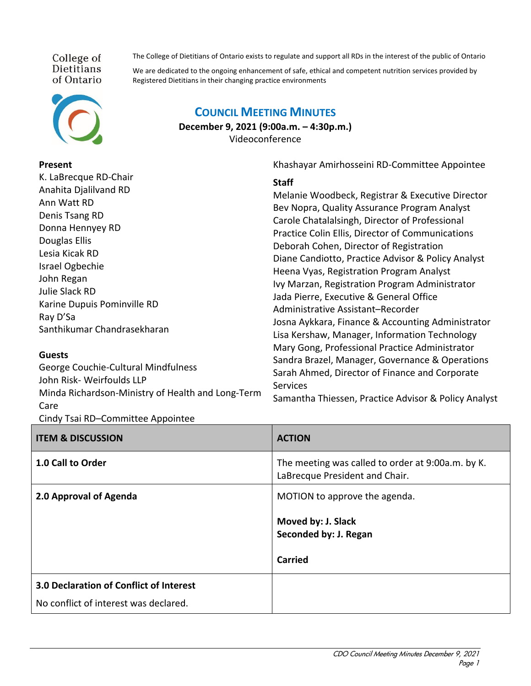College of **Dietitians** of Ontario



## **Present**

The College of Dietitians of Ontario exists to regulate and support all RDs in the interest of the public of Ontario

We are dedicated to the ongoing enhancement of safe, ethical and competent nutrition services provided by Registered Dietitians in their changing practice environments

## K. LaBrecque RD-Chair Anahita Djalilvand RD Ann Watt RD Denis Tsang RD Donna Hennyey RD Douglas Ellis Lesia Kicak RD Israel Ogbechie John Regan Julie Slack RD Karine Dupuis Pominville RD Ray D'Sa Santhikumar Chandrasekharan **Guests Staff** Melanie Woodbeck, Registrar & Executive Director Bev Nopra, Quality Assurance Program Analyst Carole Chatalalsingh, Director of Professional Practice Colin Ellis, Director of Communications Deborah Cohen, Director of Registration Diane Candiotto, Practice Advisor & Policy Analyst Heena Vyas, Registration Program Analyst Ivy Marzan, Registration Program Administrator Jada Pierre, Executive & General Office Administrative Assistant–Recorder Josna Aykkara, Finance & Accounting Administrator Lisa Kershaw, Manager, Information Technology Mary Gong, Professional Practice Administrator Sandra Brazel, Manager, Governance & Operations

George Couchie-Cultural Mindfulness John Risk- Weirfoulds LLP Minda Richardson-Ministry of Health and Long-Term Care Cindy Tsai RD–Committee Appointee

## **COUNCIL MEETING MINUTES**

**December 9, 2021 (9:00a.m. – 4:30p.m.)** Videoconference

Khashayar Amirhosseini RD-Committee Appointee

Sarah Ahmed, Director of Finance and Corporate **Services** 

Samantha Thiessen, Practice Advisor & Policy Analyst

| . .<br><b>ITEM &amp; DISCUSSION</b>     | <b>ACTION</b>                                                                       |
|-----------------------------------------|-------------------------------------------------------------------------------------|
| 1.0 Call to Order                       | The meeting was called to order at 9:00a.m. by K.<br>LaBrecque President and Chair. |
| 2.0 Approval of Agenda                  | MOTION to approve the agenda.                                                       |
|                                         | Moved by: J. Slack<br>Seconded by: J. Regan                                         |
|                                         | <b>Carried</b>                                                                      |
| 3.0 Declaration of Conflict of Interest |                                                                                     |
| No conflict of interest was declared.   |                                                                                     |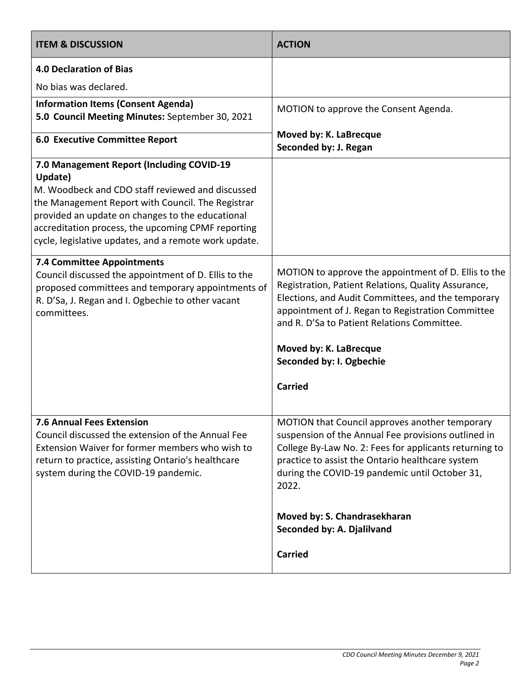| <b>ITEM &amp; DISCUSSION</b>                                                                                                                                                                                                                                                                                                     | <b>ACTION</b>                                                                                                                                                                                                                                                                                                                                                  |
|----------------------------------------------------------------------------------------------------------------------------------------------------------------------------------------------------------------------------------------------------------------------------------------------------------------------------------|----------------------------------------------------------------------------------------------------------------------------------------------------------------------------------------------------------------------------------------------------------------------------------------------------------------------------------------------------------------|
| <b>4.0 Declaration of Bias</b>                                                                                                                                                                                                                                                                                                   |                                                                                                                                                                                                                                                                                                                                                                |
| No bias was declared.                                                                                                                                                                                                                                                                                                            |                                                                                                                                                                                                                                                                                                                                                                |
| <b>Information Items (Consent Agenda)</b><br>5.0 Council Meeting Minutes: September 30, 2021                                                                                                                                                                                                                                     | MOTION to approve the Consent Agenda.                                                                                                                                                                                                                                                                                                                          |
| <b>6.0 Executive Committee Report</b>                                                                                                                                                                                                                                                                                            | Moved by: K. LaBrecque<br>Seconded by: J. Regan                                                                                                                                                                                                                                                                                                                |
| 7.0 Management Report (Including COVID-19<br>Update)<br>M. Woodbeck and CDO staff reviewed and discussed<br>the Management Report with Council. The Registrar<br>provided an update on changes to the educational<br>accreditation process, the upcoming CPMF reporting<br>cycle, legislative updates, and a remote work update. |                                                                                                                                                                                                                                                                                                                                                                |
| <b>7.4 Committee Appointments</b><br>Council discussed the appointment of D. Ellis to the<br>proposed committees and temporary appointments of<br>R. D'Sa, J. Regan and I. Ogbechie to other vacant<br>committees.                                                                                                               | MOTION to approve the appointment of D. Ellis to the<br>Registration, Patient Relations, Quality Assurance,<br>Elections, and Audit Committees, and the temporary<br>appointment of J. Regan to Registration Committee<br>and R. D'Sa to Patient Relations Committee.<br>Moved by: K. LaBrecque<br>Seconded by: I. Ogbechie<br><b>Carried</b>                  |
| <b>7.6 Annual Fees Extension</b><br>Council discussed the extension of the Annual Fee<br>Extension Waiver for former members who wish to<br>return to practice, assisting Ontario's healthcare<br>system during the COVID-19 pandemic.                                                                                           | MOTION that Council approves another temporary<br>suspension of the Annual Fee provisions outlined in<br>College By-Law No. 2: Fees for applicants returning to<br>practice to assist the Ontario healthcare system<br>during the COVID-19 pandemic until October 31,<br>2022.<br>Moved by: S. Chandrasekharan<br>Seconded by: A. Djalilvand<br><b>Carried</b> |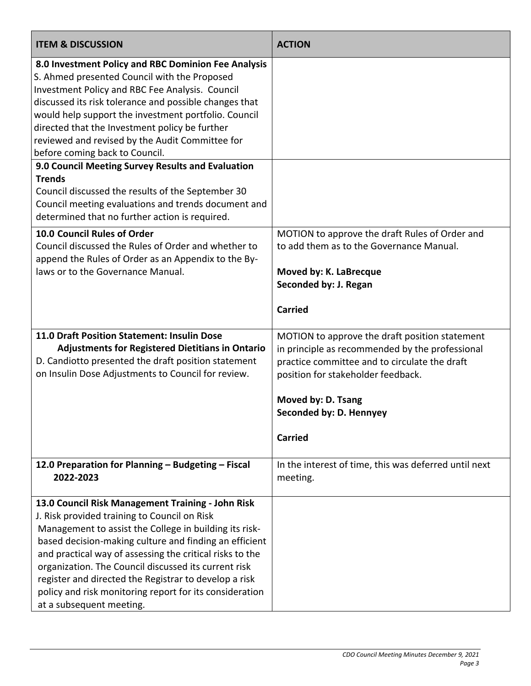| <b>ITEM &amp; DISCUSSION</b>                                                                                                                                                                                                                                                                                                                                                                                                                                                                                                                                                                      | <b>ACTION</b>                                                                                                                                                                                                                                               |
|---------------------------------------------------------------------------------------------------------------------------------------------------------------------------------------------------------------------------------------------------------------------------------------------------------------------------------------------------------------------------------------------------------------------------------------------------------------------------------------------------------------------------------------------------------------------------------------------------|-------------------------------------------------------------------------------------------------------------------------------------------------------------------------------------------------------------------------------------------------------------|
| 8.0 Investment Policy and RBC Dominion Fee Analysis<br>S. Ahmed presented Council with the Proposed<br>Investment Policy and RBC Fee Analysis. Council<br>discussed its risk tolerance and possible changes that<br>would help support the investment portfolio. Council<br>directed that the Investment policy be further<br>reviewed and revised by the Audit Committee for<br>before coming back to Council.<br>9.0 Council Meeting Survey Results and Evaluation<br><b>Trends</b><br>Council discussed the results of the September 30<br>Council meeting evaluations and trends document and |                                                                                                                                                                                                                                                             |
| determined that no further action is required.<br>10.0 Council Rules of Order<br>Council discussed the Rules of Order and whether to<br>append the Rules of Order as an Appendix to the By-<br>laws or to the Governance Manual.                                                                                                                                                                                                                                                                                                                                                                  | MOTION to approve the draft Rules of Order and<br>to add them as to the Governance Manual.<br>Moved by: K. LaBrecque<br>Seconded by: J. Regan<br><b>Carried</b>                                                                                             |
| 11.0 Draft Position Statement: Insulin Dose<br><b>Adjustments for Registered Dietitians in Ontario</b><br>D. Candiotto presented the draft position statement<br>on Insulin Dose Adjustments to Council for review.                                                                                                                                                                                                                                                                                                                                                                               | MOTION to approve the draft position statement<br>in principle as recommended by the professional<br>practice committee and to circulate the draft<br>position for stakeholder feedback.<br>Moved by: D. Tsang<br>Seconded by: D. Hennyey<br><b>Carried</b> |
| 12.0 Preparation for Planning - Budgeting - Fiscal<br>2022-2023                                                                                                                                                                                                                                                                                                                                                                                                                                                                                                                                   | In the interest of time, this was deferred until next<br>meeting.                                                                                                                                                                                           |
| 13.0 Council Risk Management Training - John Risk<br>J. Risk provided training to Council on Risk<br>Management to assist the College in building its risk-<br>based decision-making culture and finding an efficient<br>and practical way of assessing the critical risks to the<br>organization. The Council discussed its current risk<br>register and directed the Registrar to develop a risk<br>policy and risk monitoring report for its consideration<br>at a subsequent meeting.                                                                                                         |                                                                                                                                                                                                                                                             |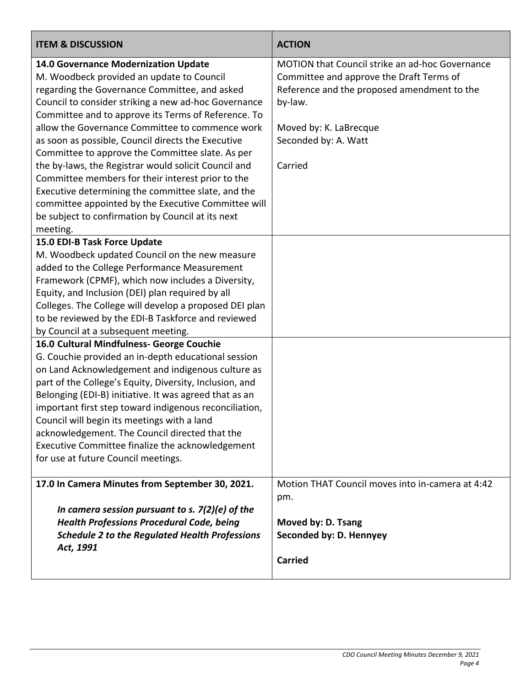| <b>ITEM &amp; DISCUSSION</b>                                                                                                                                                                                                                                                                                                                                                                                                                                                                                                                                                                                                                                                                              | <b>ACTION</b>                                                                                                                                                                                                      |
|-----------------------------------------------------------------------------------------------------------------------------------------------------------------------------------------------------------------------------------------------------------------------------------------------------------------------------------------------------------------------------------------------------------------------------------------------------------------------------------------------------------------------------------------------------------------------------------------------------------------------------------------------------------------------------------------------------------|--------------------------------------------------------------------------------------------------------------------------------------------------------------------------------------------------------------------|
| 14.0 Governance Modernization Update<br>M. Woodbeck provided an update to Council<br>regarding the Governance Committee, and asked<br>Council to consider striking a new ad-hoc Governance<br>Committee and to approve its Terms of Reference. To<br>allow the Governance Committee to commence work<br>as soon as possible, Council directs the Executive<br>Committee to approve the Committee slate. As per<br>the by-laws, the Registrar would solicit Council and<br>Committee members for their interest prior to the<br>Executive determining the committee slate, and the<br>committee appointed by the Executive Committee will<br>be subject to confirmation by Council at its next<br>meeting. | MOTION that Council strike an ad-hoc Governance<br>Committee and approve the Draft Terms of<br>Reference and the proposed amendment to the<br>by-law.<br>Moved by: K. LaBrecque<br>Seconded by: A. Watt<br>Carried |
| 15.0 EDI-B Task Force Update<br>M. Woodbeck updated Council on the new measure<br>added to the College Performance Measurement<br>Framework (CPMF), which now includes a Diversity,<br>Equity, and Inclusion (DEI) plan required by all<br>Colleges. The College will develop a proposed DEI plan<br>to be reviewed by the EDI-B Taskforce and reviewed<br>by Council at a subsequent meeting.                                                                                                                                                                                                                                                                                                            |                                                                                                                                                                                                                    |
| 16.0 Cultural Mindfulness- George Couchie<br>G. Couchie provided an in-depth educational session<br>on Land Acknowledgement and indigenous culture as<br>part of the College's Equity, Diversity, Inclusion, and<br>Belonging (EDI-B) initiative. It was agreed that as an<br>important first step toward indigenous reconciliation,<br>Council will begin its meetings with a land<br>acknowledgement. The Council directed that the<br>Executive Committee finalize the acknowledgement<br>for use at future Council meetings.                                                                                                                                                                          |                                                                                                                                                                                                                    |
| 17.0 In Camera Minutes from September 30, 2021.<br>In camera session pursuant to s. $7(2)(e)$ of the<br><b>Health Professions Procedural Code, being</b><br><b>Schedule 2 to the Regulated Health Professions</b><br>Act, 1991                                                                                                                                                                                                                                                                                                                                                                                                                                                                            | Motion THAT Council moves into in-camera at 4:42<br>pm.<br>Moved by: D. Tsang<br>Seconded by: D. Hennyey<br><b>Carried</b>                                                                                         |